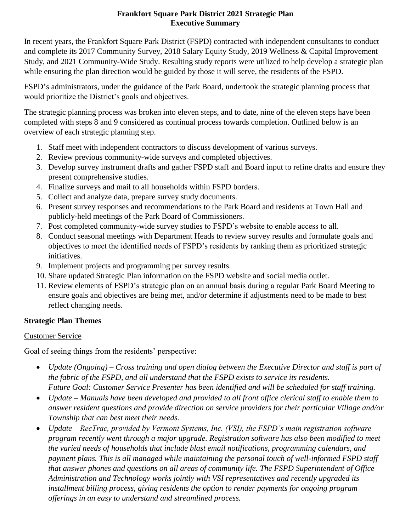#### **Frankfort Square Park District 2021 Strategic Plan Executive Summary**

In recent years, the Frankfort Square Park District (FSPD) contracted with independent consultants to conduct and complete its 2017 Community Survey, 2018 Salary Equity Study, 2019 Wellness & Capital Improvement Study, and 2021 Community-Wide Study. Resulting study reports were utilized to help develop a strategic plan while ensuring the plan direction would be guided by those it will serve, the residents of the FSPD.

FSPD's administrators, under the guidance of the Park Board, undertook the strategic planning process that would prioritize the District's goals and objectives.

The strategic planning process was broken into eleven steps, and to date, nine of the eleven steps have been completed with steps 8 and 9 considered as continual process towards completion. Outlined below is an overview of each strategic planning step.

- 1. Staff meet with independent contractors to discuss development of various surveys.
- 2. Review previous community-wide surveys and completed objectives.
- 3. Develop survey instrument drafts and gather FSPD staff and Board input to refine drafts and ensure they present comprehensive studies.
- 4. Finalize surveys and mail to all households within FSPD borders.
- 5. Collect and analyze data, prepare survey study documents.
- 6. Present survey responses and recommendations to the Park Board and residents at Town Hall and publicly-held meetings of the Park Board of Commissioners.
- 7. Post completed community-wide survey studies to FSPD's website to enable access to all.
- 8. Conduct seasonal meetings with Department Heads to review survey results and formulate goals and objectives to meet the identified needs of FSPD's residents by ranking them as prioritized strategic initiatives.
- 9. Implement projects and programming per survey results.
- 10. Share updated Strategic Plan information on the FSPD website and social media outlet.
- 11. Review elements of FSPD's strategic plan on an annual basis during a regular Park Board Meeting to ensure goals and objectives are being met, and/or determine if adjustments need to be made to best reflect changing needs.

# **Strategic Plan Themes**

## Customer Service

Goal of seeing things from the residents' perspective:

- *Update (Ongoing) – Cross training and open dialog between the Executive Director and staff is part of the fabric of the FSPD, and all understand that the FSPD exists to service its residents. Future Goal: Customer Service Presenter has been identified and will be scheduled for staff training.*
- *Update – Manuals have been developed and provided to all front office clerical staff to enable them to answer resident questions and provide direction on service providers for their particular Village and/or Township that can best meet their needs.*
- *Update – RecTrac, provided by Vermont Systems, Inc. (VSI), the FSPD's main registration software program recently went through a major upgrade. Registration software has also been modified to meet the varied needs of households that include blast email notifications, programming calendars, and payment plans. This is all managed while maintaining the personal touch of well-informed FSPD staff that answer phones and questions on all areas of community life. The FSPD Superintendent of Office Administration and Technology works jointly with VSI representatives and recently upgraded its installment billing process, giving residents the option to render payments for ongoing program offerings in an easy to understand and streamlined process.*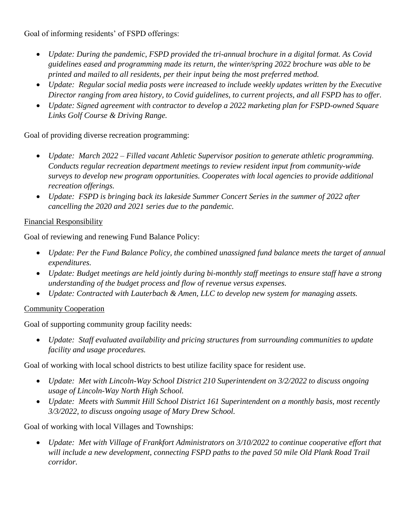Goal of informing residents' of FSPD offerings:

- *Update: During the pandemic, FSPD provided the tri-annual brochure in a digital format. As Covid guidelines eased and programming made its return, the winter/spring 2022 brochure was able to be printed and mailed to all residents, per their input being the most preferred method.*
- *Update: Regular social media posts were increased to include weekly updates written by the Executive Director ranging from area history, to Covid guidelines, to current projects, and all FSPD has to offer.*
- *Update: Signed agreement with contractor to develop a 2022 marketing plan for FSPD-owned Square Links Golf Course & Driving Range.*

Goal of providing diverse recreation programming:

- *Update: March 2022 – Filled vacant Athletic Supervisor position to generate athletic programming. Conducts regular recreation department meetings to review resident input from community-wide surveys to develop new program opportunities. Cooperates with local agencies to provide additional recreation offerings.*
- *Update: FSPD is bringing back its lakeside Summer Concert Series in the summer of 2022 after cancelling the 2020 and 2021 series due to the pandemic.*

#### Financial Responsibility

Goal of reviewing and renewing Fund Balance Policy:

- *Update: Per the Fund Balance Policy, the combined unassigned fund balance meets the target of annual expenditures.*
- *Update: Budget meetings are held jointly during bi-monthly staff meetings to ensure staff have a strong understanding of the budget process and flow of revenue versus expenses.*
- *Update: Contracted with Lauterbach & Amen, LLC to develop new system for managing assets.*

#### Community Cooperation

Goal of supporting community group facility needs:

 *Update: Staff evaluated availability and pricing structures from surrounding communities to update facility and usage procedures.*

Goal of working with local school districts to best utilize facility space for resident use.

- *Update: Met with Lincoln-Way School District 210 Superintendent on 3/2/2022 to discuss ongoing usage of Lincoln-Way North High School.*
- *Update: Meets with Summit Hill School District 161 Superintendent on a monthly basis, most recently 3/3/2022, to discuss ongoing usage of Mary Drew School.*

Goal of working with local Villages and Townships:

 *Update: Met with Village of Frankfort Administrators on 3/10/2022 to continue cooperative effort that will include a new development, connecting FSPD paths to the paved 50 mile Old Plank Road Trail corridor.*